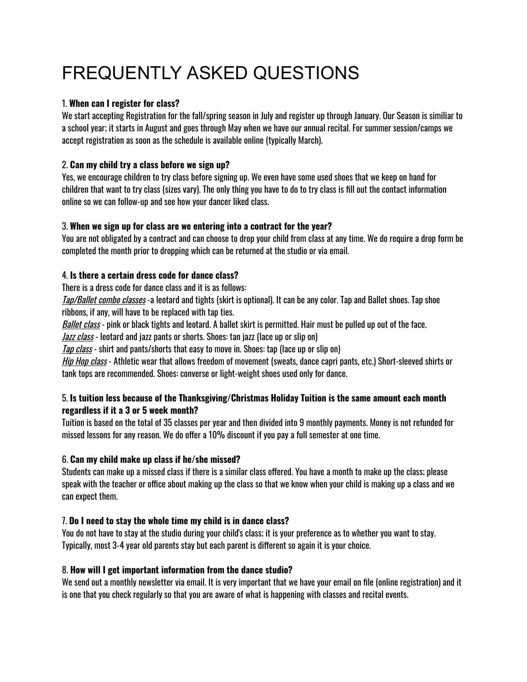# FREQUENTLY ASKED QUESTIONS

## 1. **When can I register for class?**

We start accepting Registration for the fall/spring season in July and register up through January. Our Season is similiar to a school year; it starts in August and goes through May when we have our annual recital. For summer session/camps we accept registration as soon as the schedule is available online (typically March).

# 2. **Can my child try a class before we sign up?**

Yes, we encourage children to try class before signing up. We even have some used shoes that we keep on hand for children that want to try class (sizes vary). The only thing you have to do to try class is fill out the contact information online so we can follow-up and see how your dancer liked class.

# 3. **When we sign up for class are we entering into a contract for the year?**

You are not obligated by a contract and can choose to drop your child from class at any time. We do require a drop form be completed the month prior to dropping which can be returned at the studio or via email.

## 4. **Is there a certain dress code for dance class?**

There is a dress code for dance class and it is as follows:

Tap/Ballet combo classes -a leotard and tights (skirt is optional). It can be any color. Tap and Ballet shoes. Tap shoe ribbons, if any, will have to be replaced with tap ties.

Ballet class - pink or black tights and leotard. A ballet skirt is permitted. Hair must be pulled up out of the face.

Jazz class - leotard and jazz pants or shorts. Shoes: tan jazz (lace up or slip on)

Tap class - shirt and pants/shorts that easy to move in. Shoes: tap (lace up or slip on)

Hip Hop class - Athletic wear that allows freedom of movement (sweats, dance capri pants, etc.) Short-sleeved shirts or tank tops are recommended. Shoes: converse or light-weight shoes used only for dance.

## 5. **Is tuition less because of the Thanksgiving/Christmas Holiday Tuition is the same amount each month regardless if it a 3 or 5 week month?**

Tuition is based on the total of 35 classes per year and then divided into 9 monthly payments. Money is not refunded for missed lessons for any reason. We do offer a 10% discount if you pay a full semester at one time.

# 6. **Can my child make up class if he/she missed?**

Students can make up a missed class if there is a similar class offered. You have a month to make up the class; please speak with the teacher or office about making up the class so that we know when your child is making up a class and we can expect them.

# 7. **Do I need to stay the whole time my child is in dance class?**

You do not have to stay at the studio during your child's class; it is your preference as to whether you want to stay. Typically, most 3-4 year old parents stay but each parent is different so again it is your choice.

#### 8. **How will I get important information from the dance studio?**

We send out a monthly newsletter via email. It is very important that we have your email on file (online registration) and it is one that you check regularly so that you are aware of what is happening with classes and recital events.